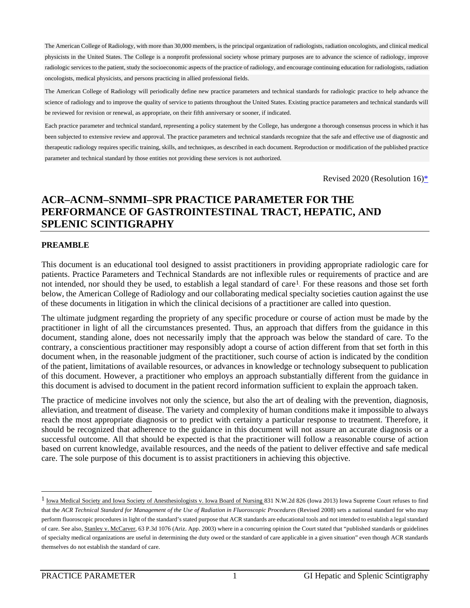The American College of Radiology, with more than 30,000 members, is the principal organization of radiologists, radiation oncologists, and clinical medical physicists in the United States. The College is a nonprofit professional society whose primary purposes are to advance the science of radiology, improve radiologic services to the patient, study the socioeconomic aspects of the practice of radiology, and encourage continuing education for radiologists, radiation oncologists, medical physicists, and persons practicing in allied professional fields.

The American College of Radiology will periodically define new practice parameters and technical standards for radiologic practice to help advance the science of radiology and to improve the quality of service to patients throughout the United States. Existing practice parameters and technical standards will be reviewed for revision or renewal, as appropriate, on their fifth anniversary or sooner, if indicated.

Each practice parameter and technical standard, representing a policy statement by the College, has undergone a thorough consensus process in which it has been subjected to extensive review and approval. The practice parameters and technical standards recognize that the safe and effective use of diagnostic and therapeutic radiology requires specific training, skills, and techniques, as described in each document. Reproduction or modification of the published practice parameter and technical standard by those entities not providing these services is not authorized.

Revised 2020 (Resolution 16[\)\\*](#page-14-0)

# **ACR–ACNM–SNMMI–SPR PRACTICE PARAMETER FOR THE PERFORMANCE OF GASTROINTESTINAL TRACT, HEPATIC, AND SPLENIC SCINTIGRAPHY**

#### **PREAMBLE**

This document is an educational tool designed to assist practitioners in providing appropriate radiologic care for patients. Practice Parameters and Technical Standards are not inflexible rules or requirements of practice and are not intended, nor should they be used, to establish a legal standard of care<sup>1</sup>. For these reasons and those set forth below, the American College of Radiology and our collaborating medical specialty societies caution against the use of these documents in litigation in which the clinical decisions of a practitioner are called into question.

The ultimate judgment regarding the propriety of any specific procedure or course of action must be made by the practitioner in light of all the circumstances presented. Thus, an approach that differs from the guidance in this document, standing alone, does not necessarily imply that the approach was below the standard of care. To the contrary, a conscientious practitioner may responsibly adopt a course of action different from that set forth in this document when, in the reasonable judgment of the practitioner, such course of action is indicated by the condition of the patient, limitations of available resources, or advances in knowledge or technology subsequent to publication of this document. However, a practitioner who employs an approach substantially different from the guidance in this document is advised to document in the patient record information sufficient to explain the approach taken.

The practice of medicine involves not only the science, but also the art of dealing with the prevention, diagnosis, alleviation, and treatment of disease. The variety and complexity of human conditions make it impossible to always reach the most appropriate diagnosis or to predict with certainty a particular response to treatment. Therefore, it should be recognized that adherence to the guidance in this document will not assure an accurate diagnosis or a successful outcome. All that should be expected is that the practitioner will follow a reasonable course of action based on current knowledge, available resources, and the needs of the patient to deliver effective and safe medical care. The sole purpose of this document is to assist practitioners in achieving this objective.

<span id="page-0-0"></span><sup>&</sup>lt;sup>1</sup> Iowa Medical Society and Iowa Society of Anesthesiologists v. Iowa Board of Nursing 831 N.W.2d 826 (Iowa 2013) Iowa Supreme Court refuses to find that the *ACR Technical Standard for Management of the Use of Radiation in Fluoroscopic Procedures* (Revised 2008) sets a national standard for who may perform fluoroscopic procedures in light of the standard's stated purpose that ACR standards are educational tools and not intended to establish a legal standard of care. See also, Stanley v. McCarver, 63 P.3d 1076 (Ariz. App. 2003) where in a concurring opinion the Court stated that "published standards or guidelines of specialty medical organizations are useful in determining the duty owed or the standard of care applicable in a given situation" even though ACR standards themselves do not establish the standard of care.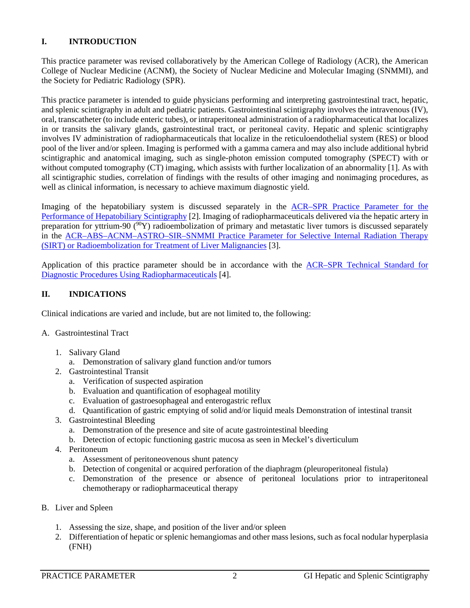## **I. INTRODUCTION**

This practice parameter was revised collaboratively by the American College of Radiology (ACR), the American College of Nuclear Medicine (ACNM), the Society of Nuclear Medicine and Molecular Imaging (SNMMI), and the Society for Pediatric Radiology (SPR).

This practice parameter is intended to guide physicians performing and interpreting gastrointestinal tract, hepatic, and splenic scintigraphy in adult and pediatric patients. Gastrointestinal scintigraphy involves the intravenous (IV), oral, transcatheter (to include enteric tubes), or intraperitoneal administration of a radiopharmaceutical that localizes in or transits the salivary glands, gastrointestinal tract, or peritoneal cavity. Hepatic and splenic scintigraphy involves IV administration of radiopharmaceuticals that localize in the reticuloendothelial system (RES) or blood pool of the liver and/or spleen. Imaging is performed with a gamma camera and may also include additional hybrid scintigraphic and anatomical imaging, such as single-photon emission computed tomography (SPECT) with or without computed tomography (CT) imaging, which assists with further localization of an abnormality [\[1\]](#page-12-0). As with all scintigraphic studies, correlation of findings with the results of other imaging and nonimaging procedures, as well as clinical information, is necessary to achieve maximum diagnostic yield.

Imaging of the hepatobiliary system is discussed separately in the **ACR-SPR Practice Parameter for the** [Performance of Hepatobiliary Scintigraphy](https://www.acr.org/-/media/ACR/Files/Practice-Parameters/Hepato-Scint.pdf?la=en) [\[2\]](#page-13-0). Imaging of radiopharmaceuticals delivered via the hepatic artery in preparation for yttrium-90 ( $^{90}Y$ ) radioembolization of primary and metastatic liver tumors is discussed separately in the [ACR–ABS–ACNM–ASTRO–SIR–](https://www.acr.org/-/media/ACR/Files/Practice-Parameters/RMBD.pdf)SNMMI [Practice Parameter for Selective Internal Radiation Therapy](https://www.acr.org/-/media/ACR/Files/Practice-Parameters/RMBD.pdf)  [\(SIRT\) or Radioembolization for Treatment of](https://www.acr.org/-/media/ACR/Files/Practice-Parameters/RMBD.pdf) [Liver Malignancies](https://www.acr.org/-/media/ACR/Files/Practice-Parameters/RMBD.pdf) [\[3\]](#page-13-1).

Application of this practice parameter should be in accordance with the ACR–SPR [Technical Standard for](https://www.acr.org/-/media/ACR/Files/Practice-Parameters/Radiopharmaceuticals.pdf?la=en5.pdf)  [Diagnostic Procedures Using Radiopharmaceuticals](https://www.acr.org/-/media/ACR/Files/Practice-Parameters/Radiopharmaceuticals.pdf?la=en5.pdf) [\[4\]](#page-13-2).

#### **II. INDICATIONS**

Clinical indications are varied and include, but are not limited to, the following:

#### A. Gastrointestinal Tract

- 1. Salivary Gland
	- a. Demonstration of salivary gland function and/or tumors
- 2. Gastrointestinal Transit
	- a. Verification of suspected aspiration
	- b. Evaluation and quantification of esophageal motility
	- c. Evaluation of gastroesophageal and enterogastric reflux
	- d. Quantification of gastric emptying of solid and/or liquid meals Demonstration of intestinal transit
- 3. Gastrointestinal Bleeding
	- a. Demonstration of the presence and site of acute gastrointestinal bleeding
	- b. Detection of ectopic functioning gastric mucosa as seen in Meckel's diverticulum
- 4. Peritoneum
	- a. Assessment of peritoneovenous shunt patency
	- b. Detection of congenital or acquired perforation of the diaphragm (pleuroperitoneal fistula)
	- c. Demonstration of the presence or absence of peritoneal loculations prior to intraperitoneal chemotherapy or radiopharmaceutical therapy
- B. Liver and Spleen
	- 1. Assessing the size, shape, and position of the liver and/or spleen
	- 2. Differentiation of hepatic or splenic hemangiomas and other mass lesions, such as focal nodular hyperplasia (FNH)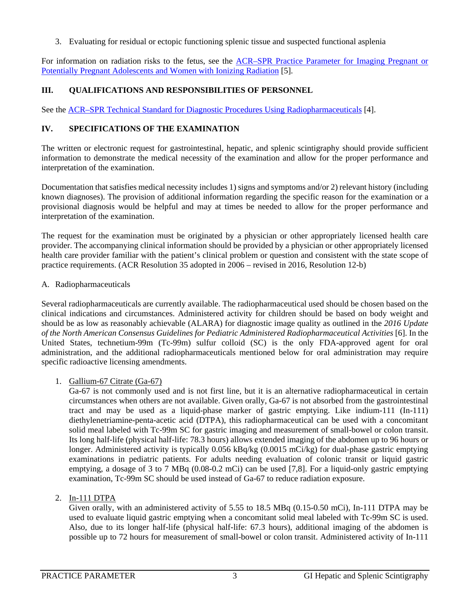3. Evaluating for residual or ectopic functioning splenic tissue and suspected functional asplenia

For information on radiation risks to the fetus, see the [ACR–SPR Practice Parameter for Imaging Pregnant or](https://www.acr.org/-/media/ACR/Files/Practice-Parameters/Pregnant-Pts.pdf?la=en)  [Potentially Pregnant Adolescents and Women with Ionizing Radiation](https://www.acr.org/-/media/ACR/Files/Practice-Parameters/Pregnant-Pts.pdf?la=en) [\[5\]](#page-13-3).

# **III. QUALIFICATIONS AND RESPONSIBILITIES OF PERSONNEL**

See the [ACR–SPR Technical Standard for Diagnostic Procedures Using Radiopharmaceuticals](https://www.acr.org/-/media/ACR/Files/Practice-Parameters/Radiopharmaceuticals.pdf?la=en5.pdf) [\[4\]](#page-13-2).

# **IV. SPECIFICATIONS OF THE EXAMINATION**

The written or electronic request for gastrointestinal, hepatic, and splenic scintigraphy should provide sufficient information to demonstrate the medical necessity of the examination and allow for the proper performance and interpretation of the examination.

Documentation that satisfies medical necessity includes 1) signs and symptoms and/or 2) relevant history (including known diagnoses). The provision of additional information regarding the specific reason for the examination or a provisional diagnosis would be helpful and may at times be needed to allow for the proper performance and interpretation of the examination.

The request for the examination must be originated by a physician or other appropriately licensed health care provider. The accompanying clinical information should be provided by a physician or other appropriately licensed health care provider familiar with the patient's clinical problem or question and consistent with the state scope of practice requirements. (ACR Resolution 35 adopted in 2006 – revised in 2016, Resolution 12-b)

## A. Radiopharmaceuticals

Several radiopharmaceuticals are currently available. The radiopharmaceutical used should be chosen based on the clinical indications and circumstances. Administered activity for children should be based on body weight and should be as low as reasonably achievable (ALARA) for diagnostic image quality as outlined in the *2016 Update of the North American Consensus Guidelines for Pediatric Administered Radiopharmaceutical Activities* [\[6\]](#page-13-4). In the United States, technetium-99m (Tc-99m) sulfur colloid (SC) is the only FDA-approved agent for oral administration, and the additional radiopharmaceuticals mentioned below for oral administration may require specific radioactive licensing amendments.

1. Gallium-67 Citrate (Ga-67)

Ga-67 is not commonly used and is not first line, but it is an alternative radiopharmaceutical in certain circumstances when others are not available. Given orally, Ga-67 is not absorbed from the gastrointestinal tract and may be used as a liquid-phase marker of gastric emptying. Like indium-111 (In-111) diethylenetriamine-penta-acetic acid (DTPA), this radiopharmaceutical can be used with a concomitant solid meal labeled with Tc-99m SC for gastric imaging and measurement of small-bowel or colon transit. Its long half-life (physical half-life: 78.3 hours) allows extended imaging of the abdomen up to 96 hours or longer. Administered activity is typically 0.056 kBq/kg (0.0015 mCi/kg) for dual-phase gastric emptying examinations in pediatric patients. For adults needing evaluation of colonic transit or liquid gastric emptying, a dosage of 3 to 7 MBq (0.08-0.2 mCi) can be used [\[7,](#page-13-5)[8\]](#page-13-6). For a liquid-only gastric emptying examination, Tc-99m SC should be used instead of Ga-67 to reduce radiation exposure.

# 2. In-111 DTPA

Given orally, with an administered activity of 5.55 to 18.5 MBq (0.15-0.50 mCi), In-111 DTPA may be used to evaluate liquid gastric emptying when a concomitant solid meal labeled with Tc-99m SC is used. Also, due to its longer half-life (physical half-life: 67.3 hours), additional imaging of the abdomen is possible up to 72 hours for measurement of small-bowel or colon transit. Administered activity of In-111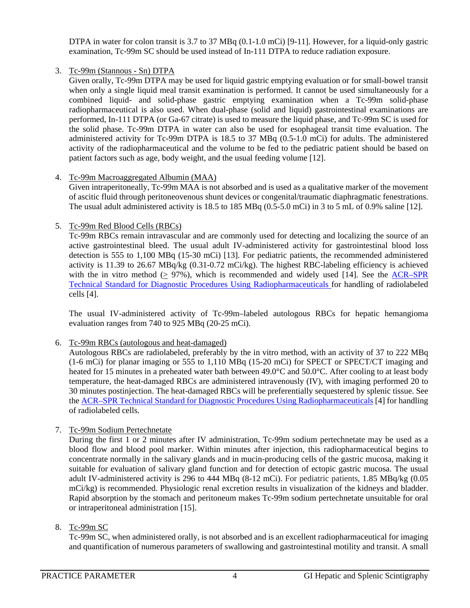DTPA in water for colon transit is 3.7 to 37 MBq (0.1-1.0 mCi) [\[9-11\]](#page-13-7). However, for a liquid-only gastric examination, Tc-99m SC should be used instead of In-111 DTPA to reduce radiation exposure.

# 3. Tc-99m (Stannous - Sn) DTPA

Given orally, Tc-99m DTPA may be used for liquid gastric emptying evaluation or for small-bowel transit when only a single liquid meal transit examination is performed. It cannot be used simultaneously for a combined liquid- and solid-phase gastric emptying examination when a Tc-99m solid-phase radiopharmaceutical is also used. When dual-phase (solid and liquid) gastrointestinal examinations are performed, In-111 DTPA (or Ga-67 citrate) is used to measure the liquid phase, and Tc-99m SC is used for the solid phase. Tc-99m DTPA in water can also be used for esophageal transit time evaluation. The administered activity for Tc-99m DTPA is 18.5 to 37 MBq (0.5-1.0 mCi) for adults. The administered activity of the radiopharmaceutical and the volume to be fed to the pediatric patient should be based on patient factors such as age, body weight, and the usual feeding volume [\[12\]](#page-13-8).

## 4. Tc-99m Macroaggregated Albumin (MAA)

Given intraperitoneally, Tc-99m MAA is not absorbed and is used as a qualitative marker of the movement of ascitic fluid through peritoneovenous shunt devices or congenital/traumatic diaphragmatic fenestrations. The usual adult administered activity is 18.5 to 185 MBq (0.5-5.0 mCi) in 3 to 5 mL of 0.9% saline [\[12\]](#page-13-8).

## 5. Tc-99m Red Blood Cells (RBCs)

Tc-99m RBCs remain intravascular and are commonly used for detecting and localizing the source of an active gastrointestinal bleed. The usual adult IV-administered activity for gastrointestinal blood loss detection is 555 to 1,100 MBq (15-30 mCi) [\[13\]](#page-13-9). For pediatric patients, the recommended administered activity is 11.39 to 26.67 MBq/kg (0.31-0.72 mCi/kg). The highest RBC-labeling efficiency is achieved with the in vitro method  $(2.97\%)$ , which is recommended and widely used [\[14\]](#page-13-10). See the  $\angle$ ACR–SPR [Technical Standard for Diagnostic Procedures Using Radiopharmaceuticals f](https://www.acr.org/-/media/ACR/Files/Practice-Parameters/Radiopharmaceuticals.pdf?la=en5.pdf)or handling of radiolabeled cells [\[4\]](#page-13-2).

The usual IV-administered activity of Tc-99m–labeled autologous RBCs for hepatic hemangioma evaluation ranges from 740 to 925 MBq (20-25 mCi).

#### 6. Tc-99m RBCs (autologous and heat-damaged)

Autologous RBCs are radiolabeled, preferably by the in vitro method, with an activity of 37 to 222 MBq (1-6 mCi) for planar imaging or 555 to 1,110 MBq (15-20 mCi) for SPECT or SPECT/CT imaging and heated for 15 minutes in a preheated water bath between 49.0°C and 50.0°C. After cooling to at least body temperature, the heat-damaged RBCs are administered intravenously (IV), with imaging performed 20 to 30 minutes postinjection. The heat-damaged RBCs will be preferentially sequestered by splenic tissue. See the ACR–SPR [Technical Standard for Diagnostic Procedures Using Radiopharmaceuticals](https://www.acr.org/-/media/ACR/Files/Practice-Parameters/Radiopharmaceuticals.pdf?la=en5.pdf) [\[4\]](#page-13-2) for handling of radiolabeled cells.

#### 7. Tc-99m Sodium Pertechnetate

During the first 1 or 2 minutes after IV administration, Tc-99m sodium pertechnetate may be used as a blood flow and blood pool marker. Within minutes after injection, this radiopharmaceutical begins to concentrate normally in the salivary glands and in mucin-producing cells of the gastric mucosa, making it suitable for evaluation of salivary gland function and for detection of ectopic gastric mucosa. The usual adult IV-administered activity is 296 to 444 MBq (8-12 mCi). For pediatric patients, 1.85 MBq/kg (0.05 mCi/kg) is recommended. Physiologic renal excretion results in visualization of the kidneys and bladder. Rapid absorption by the stomach and peritoneum makes Tc-99m sodium pertechnetate unsuitable for oral or intraperitoneal administration [\[15\]](#page-13-11).

#### 8. Tc-99m SC

Tc-99m SC, when administered orally, is not absorbed and is an excellent radiopharmaceutical for imaging and quantification of numerous parameters of swallowing and gastrointestinal motility and transit. A small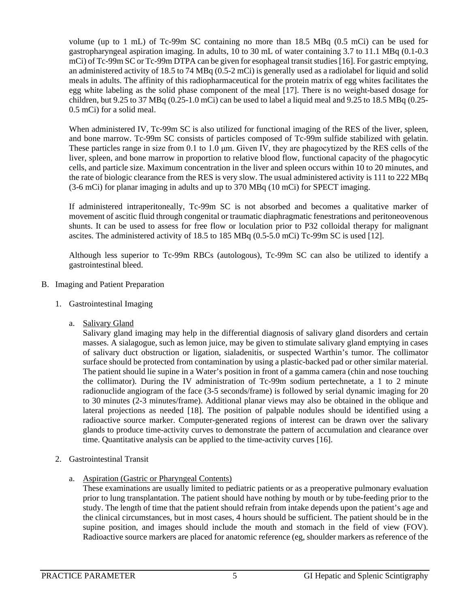volume (up to 1 mL) of Tc-99m SC containing no more than 18.5 MBq (0.5 mCi) can be used for gastropharyngeal aspiration imaging. In adults, 10 to 30 mL of water containing 3.7 to 11.1 MBq (0.1-0.3 mCi) of Tc-99m SC or Tc-99m DTPA can be given for esophageal transit studies [\[16\]](#page-13-12). For gastric emptying, an administered activity of 18.5 to 74 MBq (0.5-2 mCi) is generally used as a radiolabel for liquid and solid meals in adults. The affinity of this radiopharmaceutical for the protein matrix of egg whites facilitates the egg white labeling as the solid phase component of the meal [\[17\]](#page-13-13). There is no weight-based dosage for children, but 9.25 to 37 MBq (0.25-1.0 mCi) can be used to label a liquid meal and 9.25 to 18.5 MBq (0.25-0.5 mCi) for a solid meal.

When administered IV, Tc-99m SC is also utilized for functional imaging of the RES of the liver, spleen, and bone marrow. Tc-99m SC consists of particles composed of Tc-99m sulfide stabilized with gelatin. These particles range in size from 0.1 to 1.0 μm. Given IV, they are phagocytized by the RES cells of the liver, spleen, and bone marrow in proportion to relative blood flow, functional capacity of the phagocytic cells, and particle size. Maximum concentration in the liver and spleen occurs within 10 to 20 minutes, and the rate of biologic clearance from the RES is very slow. The usual administered activity is 111 to 222 MBq (3-6 mCi) for planar imaging in adults and up to 370 MBq (10 mCi) for SPECT imaging.

If administered intraperitoneally, Tc-99m SC is not absorbed and becomes a qualitative marker of movement of ascitic fluid through congenital or traumatic diaphragmatic fenestrations and peritoneovenous shunts. It can be used to assess for free flow or loculation prior to P32 colloidal therapy for malignant ascites. The administered activity of 18.5 to 185 MBq (0.5-5.0 mCi) Tc-99m SC is used [\[12\]](#page-13-8).

Although less superior to Tc-99m RBCs (autologous), Tc-99m SC can also be utilized to identify a gastrointestinal bleed.

- B. Imaging and Patient Preparation
	- 1. Gastrointestinal Imaging
		- a. Salivary Gland

Salivary gland imaging may help in the differential diagnosis of salivary gland disorders and certain masses. A sialagogue, such as lemon juice, may be given to stimulate salivary gland emptying in cases of salivary duct obstruction or ligation, sialadenitis, or suspected Warthin's tumor. The collimator surface should be protected from contamination by using a plastic-backed pad or other similar material. The patient should lie supine in a Water's position in front of a gamma camera (chin and nose touching the collimator). During the IV administration of Tc-99m sodium pertechnetate, a 1 to 2 minute radionuclide angiogram of the face (3-5 seconds/frame) is followed by serial dynamic imaging for 20 to 30 minutes (2-3 minutes/frame). Additional planar views may also be obtained in the oblique and lateral projections as needed [\[18\]](#page-13-14). The position of palpable nodules should be identified using a radioactive source marker. Computer-generated regions of interest can be drawn over the salivary glands to produce time-activity curves to demonstrate the pattern of accumulation and clearance over time. Quantitative analysis can be applied to the time-activity curves [\[16\]](#page-13-12).

- 2. Gastrointestinal Transit
	- a. Aspiration (Gastric or Pharyngeal Contents)

These examinations are usually limited to pediatric patients or as a preoperative pulmonary evaluation prior to lung transplantation. The patient should have nothing by mouth or by tube-feeding prior to the study. The length of time that the patient should refrain from intake depends upon the patient's age and the clinical circumstances, but in most cases, 4 hours should be sufficient. The patient should be in the supine position, and images should include the mouth and stomach in the field of view (FOV). Radioactive source markers are placed for anatomic reference (eg, shoulder markers as reference of the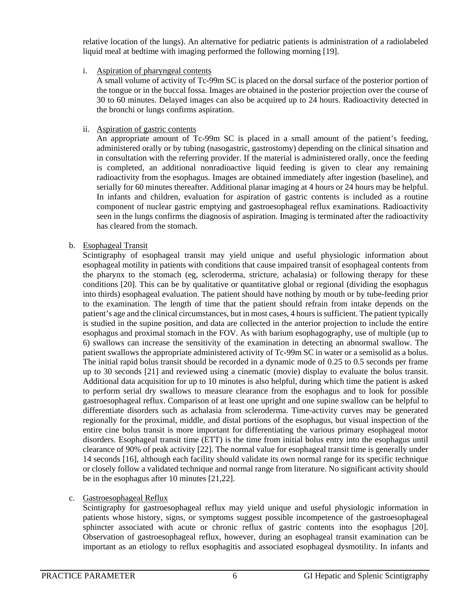relative location of the lungs). An alternative for pediatric patients is administration of a radiolabeled liquid meal at bedtime with imaging performed the following morning [\[19\]](#page-13-15).

i. Aspiration of pharyngeal contents

A small volume of activity of Tc-99m SC is placed on the dorsal surface of the posterior portion of the tongue or in the buccal fossa. Images are obtained in the posterior projection over the course of 30 to 60 minutes. Delayed images can also be acquired up to 24 hours. Radioactivity detected in the bronchi or lungs confirms aspiration.

ii. Aspiration of gastric contents

An appropriate amount of Tc-99m SC is placed in a small amount of the patient's feeding, administered orally or by tubing (nasogastric, gastrostomy) depending on the clinical situation and in consultation with the referring provider. If the material is administered orally, once the feeding is completed, an additional nonradioactive liquid feeding is given to clear any remaining radioactivity from the esophagus. Images are obtained immediately after ingestion (baseline), and serially for 60 minutes thereafter. Additional planar imaging at 4 hours or 24 hours may be helpful. In infants and children, evaluation for aspiration of gastric contents is included as a routine component of nuclear gastric emptying and gastroesophageal reflux examinations. Radioactivity seen in the lungs confirms the diagnosis of aspiration. Imaging is terminated after the radioactivity has cleared from the stomach.

b. Esophageal Transit

Scintigraphy of esophageal transit may yield unique and useful physiologic information about esophageal motility in patients with conditions that cause impaired transit of esophageal contents from the pharynx to the stomach (eg, scleroderma, stricture, achalasia) or following therapy for these conditions [\[20\]](#page-13-16). This can be by qualitative or quantitative global or regional (dividing the esophagus into thirds) esophageal evaluation. The patient should have nothing by mouth or by tube-feeding prior to the examination. The length of time that the patient should refrain from intake depends on the patient's age and the clinical circumstances, but in most cases, 4 hours is sufficient. The patient typically is studied in the supine position, and data are collected in the anterior projection to include the entire esophagus and proximal stomach in the FOV. As with barium esophagography, use of multiple (up to 6) swallows can increase the sensitivity of the examination in detecting an abnormal swallow. The patient swallows the appropriate administered activity of Tc-99m SC in water or a semisolid as a bolus. The initial rapid bolus transit should be recorded in a dynamic mode of 0.25 to 0.5 seconds per frame up to 30 seconds [\[21\]](#page-13-17) and reviewed using a cinematic (movie) display to evaluate the bolus transit. Additional data acquisition for up to 10 minutes is also helpful, during which time the patient is asked to perform serial dry swallows to measure clearance from the esophagus and to look for possible gastroesophageal reflux. Comparison of at least one upright and one supine swallow can be helpful to differentiate disorders such as achalasia from scleroderma. Time-activity curves may be generated regionally for the proximal, middle, and distal portions of the esophagus, but visual inspection of the entire cine bolus transit is more important for differentiating the various primary esophageal motor disorders. Esophageal transit time (ETT) is the time from initial bolus entry into the esophagus until clearance of 90% of peak activity [\[22\]](#page-13-18). The normal value for esophageal transit time is generally under 14 seconds [\[16\]](#page-13-12), although each facility should validate its own normal range for its specific technique or closely follow a validated technique and normal range from literature. No significant activity should be in the esophagus after 10 minutes [\[21,](#page-13-17)[22\]](#page-13-18).

#### c. Gastroesophageal Reflux

Scintigraphy for gastroesophageal reflux may yield unique and useful physiologic information in patients whose history, signs, or symptoms suggest possible incompetence of the gastroesophageal sphincter associated with acute or chronic reflux of gastric contents into the esophagus [\[20\]](#page-13-16). Observation of gastroesophageal reflux, however, during an esophageal transit examination can be important as an etiology to reflux esophagitis and associated esophageal dysmotility. In infants and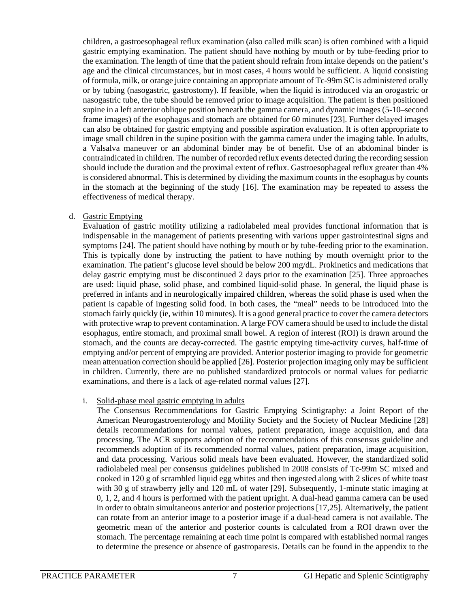children, a gastroesophageal reflux examination (also called milk scan) is often combined with a liquid gastric emptying examination. The patient should have nothing by mouth or by tube-feeding prior to the examination. The length of time that the patient should refrain from intake depends on the patient's age and the clinical circumstances, but in most cases, 4 hours would be sufficient. A liquid consisting of formula, milk, or orange juice containing an appropriate amount of Tc-99m SC is administered orally or by tubing (nasogastric, gastrostomy). If feasible, when the liquid is introduced via an orogastric or nasogastric tube, the tube should be removed prior to image acquisition. The patient is then positioned supine in a left anterior oblique position beneath the gamma camera, and dynamic images (5-10–second frame images) of the esophagus and stomach are obtained for 60 minutes [\[23\]](#page-13-19). Further delayed images can also be obtained for gastric emptying and possible aspiration evaluation. It is often appropriate to image small children in the supine position with the gamma camera under the imaging table. In adults, a Valsalva maneuver or an abdominal binder may be of benefit. Use of an abdominal binder is contraindicated in children. The number of recorded reflux events detected during the recording session should include the duration and the proximal extent of reflux. Gastroesophageal reflux greater than 4% is considered abnormal. This is determined by dividing the maximum counts in the esophagus by counts in the stomach at the beginning of the study [\[16\]](#page-13-12). The examination may be repeated to assess the effectiveness of medical therapy.

#### d. Gastric Emptying

Evaluation of gastric motility utilizing a radiolabeled meal provides functional information that is indispensable in the management of patients presenting with various upper gastrointestinal signs and symptoms [\[24\]](#page-13-20). The patient should have nothing by mouth or by tube-feeding prior to the examination. This is typically done by instructing the patient to have nothing by mouth overnight prior to the examination. The patient's glucose level should be below 200 mg/dL. Prokinetics and medications that delay gastric emptying must be discontinued 2 days prior to the examination [\[25\]](#page-13-21). Three approaches are used: liquid phase, solid phase, and combined liquid-solid phase. In general, the liquid phase is preferred in infants and in neurologically impaired children, whereas the solid phase is used when the patient is capable of ingesting solid food. In both cases, the "meal" needs to be introduced into the stomach fairly quickly (ie, within 10 minutes). It is a good general practice to cover the camera detectors with protective wrap to prevent contamination. A large FOV camera should be used to include the distal esophagus, entire stomach, and proximal small bowel. A region of interest (ROI) is drawn around the stomach, and the counts are decay-corrected. The gastric emptying time-activity curves, half-time of emptying and/or percent of emptying are provided. Anterior posterior imaging to provide for geometric mean attenuation correction should be applied [\[26\]](#page-13-22). Posterior projection imaging only may be sufficient in children. Currently, there are no published standardized protocols or normal values for pediatric examinations, and there is a lack of age-related normal values [\[27\]](#page-14-1).

#### i. Solid-phase meal gastric emptying in adults

The Consensus Recommendations for Gastric Emptying Scintigraphy: a Joint Report of the American Neurogastroenterology and Motility Society and the Society of Nuclear Medicine [\[28\]](#page-14-2) details recommendations for normal values, patient preparation, image acquisition, and data processing. The ACR supports adoption of the recommendations of this consensus guideline and recommends adoption of its recommended normal values, patient preparation, image acquisition, and data processing. Various solid meals have been evaluated. However, the standardized solid radiolabeled meal per consensus guidelines published in 2008 consists of Tc-99m SC mixed and cooked in 120 g of scrambled liquid egg whites and then ingested along with 2 slices of white toast with 30 g of strawberry jelly and 120 mL of water [\[29\]](#page-14-3). Subsequently, 1-minute static imaging at 0, 1, 2, and 4 hours is performed with the patient upright. A dual-head gamma camera can be used in order to obtain simultaneous anterior and posterior projections [\[17,](#page-13-13)[25\]](#page-13-21). Alternatively, the patient can rotate from an anterior image to a posterior image if a dual-head camera is not available. The geometric mean of the anterior and posterior counts is calculated from a ROI drawn over the stomach. The percentage remaining at each time point is compared with established normal ranges to determine the presence or absence of gastroparesis. Details can be found in the appendix to the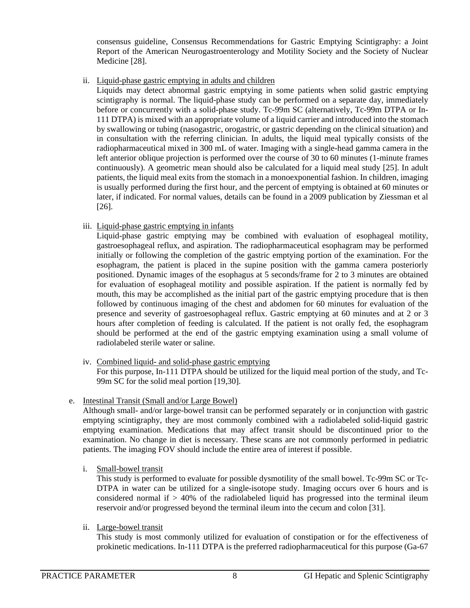consensus guideline, Consensus Recommendations for Gastric Emptying Scintigraphy: a Joint Report of the American Neurogastroenterology and Motility Society and the Society of Nuclear Medicine [\[28\]](#page-14-2).

ii. Liquid-phase gastric emptying in adults and children

Liquids may detect abnormal gastric emptying in some patients when solid gastric emptying scintigraphy is normal. The liquid-phase study can be performed on a separate day, immediately before or concurrently with a solid-phase study. Tc-99m SC (alternatively, Tc-99m DTPA or In-111 DTPA) is mixed with an appropriate volume of a liquid carrier and introduced into the stomach by swallowing or tubing (nasogastric, orogastric, or gastric depending on the clinical situation) and in consultation with the referring clinician. In adults, the liquid meal typically consists of the radiopharmaceutical mixed in 300 mL of water. Imaging with a single-head gamma camera in the left anterior oblique projection is performed over the course of 30 to 60 minutes (1-minute frames continuously). A geometric mean should also be calculated for a liquid meal study [\[25\]](#page-13-21). In adult patients, the liquid meal exits from the stomach in a monoexponential fashion. In children, imaging is usually performed during the first hour, and the percent of emptying is obtained at 60 minutes or later, if indicated. For normal values, details can be found in a 2009 publication by Ziessman et al [\[26\]](#page-13-22).

iii. Liquid-phase gastric emptying in infants

Liquid-phase gastric emptying may be combined with evaluation of esophageal motility, gastroesophageal reflux, and aspiration. The radiopharmaceutical esophagram may be performed initially or following the completion of the gastric emptying portion of the examination. For the esophagram, the patient is placed in the supine position with the gamma camera posteriorly positioned. Dynamic images of the esophagus at 5 seconds/frame for 2 to 3 minutes are obtained for evaluation of esophageal motility and possible aspiration. If the patient is normally fed by mouth, this may be accomplished as the initial part of the gastric emptying procedure that is then followed by continuous imaging of the chest and abdomen for 60 minutes for evaluation of the presence and severity of gastroesophageal reflux. Gastric emptying at 60 minutes and at 2 or 3 hours after completion of feeding is calculated. If the patient is not orally fed, the esophagram should be performed at the end of the gastric emptying examination using a small volume of radiolabeled sterile water or saline.

- iv. Combined liquid- and solid-phase gastric emptying For this purpose, In-111 DTPA should be utilized for the liquid meal portion of the study, and Tc-99m SC for the solid meal portion [\[19](#page-13-15)[,30\]](#page-14-4).
- e. Intestinal Transit (Small and/or Large Bowel)

Although small- and/or large-bowel transit can be performed separately or in conjunction with gastric emptying scintigraphy, they are most commonly combined with a radiolabeled solid-liquid gastric emptying examination. Medications that may affect transit should be discontinued prior to the examination. No change in diet is necessary. These scans are not commonly performed in pediatric patients. The imaging FOV should include the entire area of interest if possible.

i. Small-bowel transit

This study is performed to evaluate for possible dysmotility of the small bowel. Tc-99m SC or Tc-DTPA in water can be utilized for a single-isotope study. Imaging occurs over 6 hours and is considered normal if  $> 40\%$  of the radiolabeled liquid has progressed into the terminal ileum reservoir and/or progressed beyond the terminal ileum into the cecum and colon [\[31\]](#page-14-5).

ii. Large-bowel transit

This study is most commonly utilized for evaluation of constipation or for the effectiveness of prokinetic medications. In-111 DTPA is the preferred radiopharmaceutical for this purpose (Ga-67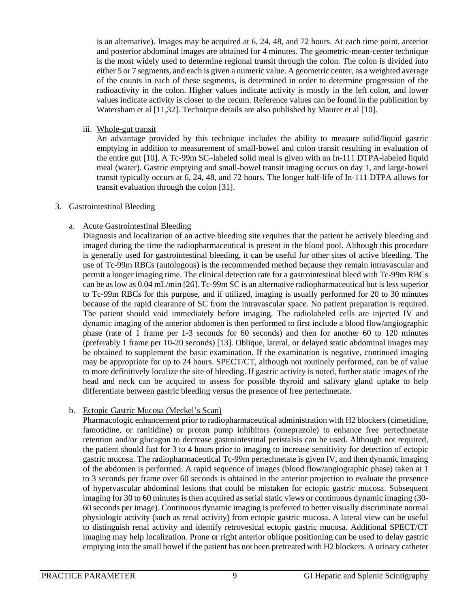is an alternative). Images may be acquired at 6, 24, 48, and 72 hours. At each time point, anterior and posterior abdominal images are obtained for 4 minutes. The geometric-mean-center technique is the most widely used to determine regional transit through the colon. The colon is divided into either 5 or 7 segments, and each is given a numeric value. A geometric center, as a weighted average of the counts in each of these segments, is determined in order to determine progression of the radioactivity in the colon. Higher values indicate activity is mostly in the left colon, and lower values indicate activity is closer to the cecum. Reference values can be found in the publication by Watersham et al [\[11](#page-13-23)[,32\]](#page-14-6). Technique details are also published by Maurer et al [\[10\]](#page-13-24).

iii. Whole-gut transit

An advantage provided by this technique includes the ability to measure solid/liquid gastric emptying in addition to measurement of small-bowel and colon transit resulting in evaluation of the entire gut [\[10\]](#page-13-24). A Tc-99m SC–labeled solid meal is given with an In-111 DTPA-labeled liquid meal (water). Gastric emptying and small-bowel transit imaging occurs on day 1, and large-bowel transit typically occurs at 6, 24, 48, and 72 hours. The longer half-life of In-111 DTPA allows for transit evaluation through the colon [\[31\]](#page-14-5).

#### 3. Gastrointestinal Bleeding

# a. Acute Gastrointestinal Bleeding

Diagnosis and localization of an active bleeding site requires that the patient be actively bleeding and imaged during the time the radiopharmaceutical is present in the blood pool. Although this procedure is generally used for gastrointestinal bleeding, it can be useful for other sites of active bleeding. The use of Tc-99m RBCs (autologous) is the recommended method because they remain intravascular and permit a longer imaging time. The clinical detection rate for a gastrointestinal bleed with Tc-99m RBCs can be as low as 0.04 mL/min [\[26\]](#page-13-22). Tc-99m SC is an alternative radiopharmaceutical but is less superior to Tc-99m RBCs for this purpose, and if utilized, imaging is usually performed for 20 to 30 minutes because of the rapid clearance of SC from the intravascular space. No patient preparation is required. The patient should void immediately before imaging. The radiolabeled cells are injected IV and dynamic imaging of the anterior abdomen is then performed to first include a blood flow/angiographic phase (rate of 1 frame per 1-3 seconds for 60 seconds) and then for another 60 to 120 minutes (preferably 1 frame per 10-20 seconds) [\[13\]](#page-13-9). Oblique, lateral, or delayed static abdominal images may be obtained to supplement the basic examination. If the examination is negative, continued imaging may be appropriate for up to 24 hours. SPECT/CT, although not routinely performed, can be of value to more definitively localize the site of bleeding. If gastric activity is noted, further static images of the head and neck can be acquired to assess for possible thyroid and salivary gland uptake to help differentiate between gastric bleeding versus the presence of free pertechnetate.

b. Ectopic Gastric Mucosa (Meckel's Scan)

Pharmacologic enhancement prior to radiopharmaceutical administration with H2 blockers (cimetidine, famotidine, or ranitidine) or proton pump inhibitors (omeprazole) to enhance free pertechnetate retention and/or glucagon to decrease gastrointestinal peristalsis can be used. Although not required, the patient should fast for 3 to 4 hours prior to imaging to increase sensitivity for detection of ectopic gastric mucosa. The radiopharmaceutical Tc-99m pertechnetate is given IV, and then dynamic imaging of the abdomen is performed. A rapid sequence of images (blood flow/angiographic phase) taken at 1 to 3 seconds per frame over 60 seconds is obtained in the anterior projection to evaluate the presence of hypervascular abdominal lesions that could be mistaken for ectopic gastric mucosa. Subsequent imaging for 30 to 60 minutes is then acquired as serial static views or continuous dynamic imaging (30- 60 seconds per image). Continuous dynamic imaging is preferred to better visually discriminate normal physiologic activity (such as renal activity) from ectopic gastric mucosa. A lateral view can be useful to distinguish renal activity and identify retrovesical ectopic gastric mucosa. Additional SPECT/CT imaging may help localization. Prone or right anterior oblique positioning can be used to delay gastric emptying into the small bowel if the patient has not been pretreated with H2 blockers. A urinary catheter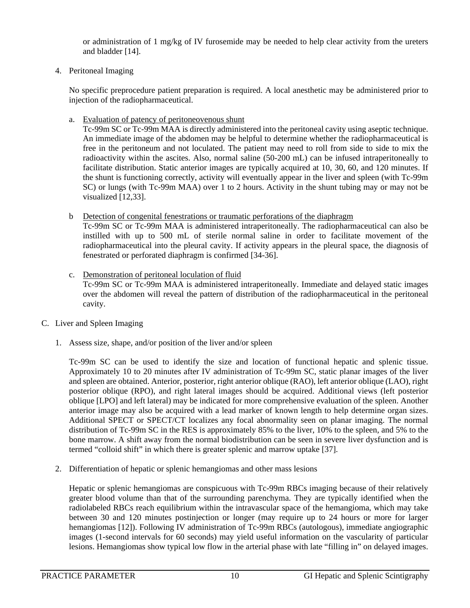or administration of 1 mg/kg of IV furosemide may be needed to help clear activity from the ureters and bladder [\[14\]](#page-13-10).

4. Peritoneal Imaging

No specific preprocedure patient preparation is required. A local anesthetic may be administered prior to injection of the radiopharmaceutical.

a. Evaluation of patency of peritoneovenous shunt

Tc-99m SC or Tc-99m MAA is directly administered into the peritoneal cavity using aseptic technique. An immediate image of the abdomen may be helpful to determine whether the radiopharmaceutical is free in the peritoneum and not loculated. The patient may need to roll from side to side to mix the radioactivity within the ascites. Also, normal saline (50-200 mL) can be infused intraperitoneally to facilitate distribution. Static anterior images are typically acquired at 10, 30, 60, and 120 minutes. If the shunt is functioning correctly, activity will eventually appear in the liver and spleen (with Tc-99m SC) or lungs (with Tc-99m MAA) over 1 to 2 hours. Activity in the shunt tubing may or may not be visualized [\[12,](#page-13-8)[33\]](#page-14-7).

#### b Detection of congenital fenestrations or traumatic perforations of the diaphragm

Tc-99m SC or Tc-99m MAA is administered intraperitoneally. The radiopharmaceutical can also be instilled with up to 500 mL of sterile normal saline in order to facilitate movement of the radiopharmaceutical into the pleural cavity. If activity appears in the pleural space, the diagnosis of fenestrated or perforated diaphragm is confirmed [\[34-36\]](#page-14-8).

- c. Demonstration of peritoneal loculation of fluid Tc-99m SC or Tc-99m MAA is administered intraperitoneally. Immediate and delayed static images over the abdomen will reveal the pattern of distribution of the radiopharmaceutical in the peritoneal cavity.
- C. Liver and Spleen Imaging
	- 1. Assess size, shape, and/or position of the liver and/or spleen

Tc-99m SC can be used to identify the size and location of functional hepatic and splenic tissue. Approximately 10 to 20 minutes after IV administration of Tc-99m SC, static planar images of the liver and spleen are obtained. Anterior, posterior, right anterior oblique (RAO), left anterior oblique (LAO), right posterior oblique (RPO), and right lateral images should be acquired. Additional views (left posterior oblique [LPO] and left lateral) may be indicated for more comprehensive evaluation of the spleen. Another anterior image may also be acquired with a lead marker of known length to help determine organ sizes. Additional SPECT or SPECT/CT localizes any focal abnormality seen on planar imaging. The normal distribution of Tc-99m SC in the RES is approximately 85% to the liver, 10% to the spleen, and 5% to the bone marrow. A shift away from the normal biodistribution can be seen in severe liver dysfunction and is termed "colloid shift" in which there is greater splenic and marrow uptake [\[37\]](#page-14-9).

2. Differentiation of hepatic or splenic hemangiomas and other mass lesions

Hepatic or splenic hemangiomas are conspicuous with Tc-99m RBCs imaging because of their relatively greater blood volume than that of the surrounding parenchyma. They are typically identified when the radiolabeled RBCs reach equilibrium within the intravascular space of the hemangioma, which may take between 30 and 120 minutes postinjection or longer (may require up to 24 hours or more for larger hemangiomas [\[12\]](#page-13-8)). Following IV administration of Tc-99m RBCs (autologous), immediate angiographic images (1-second intervals for 60 seconds) may yield useful information on the vascularity of particular lesions. Hemangiomas show typical low flow in the arterial phase with late "filling in" on delayed images.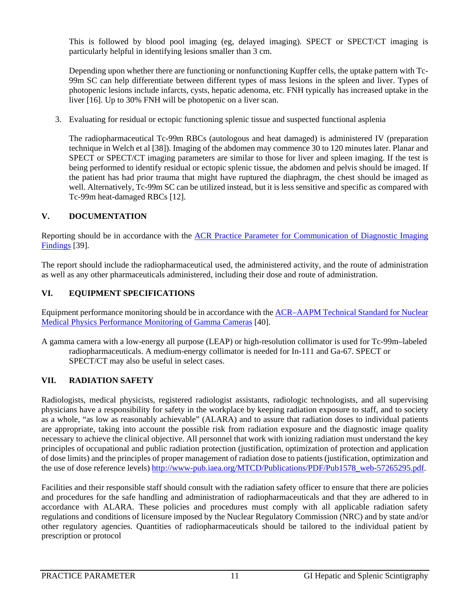This is followed by blood pool imaging (eg, delayed imaging). SPECT or SPECT/CT imaging is particularly helpful in identifying lesions smaller than 3 cm.

Depending upon whether there are functioning or nonfunctioning Kupffer cells, the uptake pattern with Tc-99m SC can help differentiate between different types of mass lesions in the spleen and liver. Types of photopenic lesions include infarcts, cysts, hepatic adenoma, etc. FNH typically has increased uptake in the liver [\[16\]](#page-13-12). Up to 30% FNH will be photopenic on a liver scan.

3. Evaluating for residual or ectopic functioning splenic tissue and suspected functional asplenia

The radiopharmaceutical Tc-99m RBCs (autologous and heat damaged) is administered IV (preparation technique in Welch et al [\[38\]](#page-14-10)). Imaging of the abdomen may commence 30 to 120 minutes later. Planar and SPECT or SPECT/CT imaging parameters are similar to those for liver and spleen imaging. If the test is being performed to identify residual or ectopic splenic tissue, the abdomen and pelvis should be imaged. If the patient has had prior trauma that might have ruptured the diaphragm, the chest should be imaged as well. Alternatively, Tc-99m SC can be utilized instead, but it is less sensitive and specific as compared with Tc-99m heat-damaged RBCs [\[12\]](#page-13-8).

# **V. DOCUMENTATION**

Reporting should be in accordance with the [ACR Practice Parameter for Communication of Diagnostic Imaging](https://www.acr.org/-/media/ACR/Files/Practice-Parameters/CommunicationDiag.pdf?la=en)  [Findings](https://www.acr.org/-/media/ACR/Files/Practice-Parameters/CommunicationDiag.pdf?la=en) [\[39\]](#page-14-11).

The report should include the radiopharmaceutical used, the administered activity, and the route of administration as well as any other pharmaceuticals administered, including their dose and route of administration.

# **VI. EQUIPMENT SPECIFICATIONS**

Equipment performance monitoring should be in accordance with the **ACR-AAPM Technical Standard for Nuclear** [Medical Physics Performance Monitoring of Gamma Cameras](https://www.acr.org/-/media/ACR/Files/Practice-Parameters/Gamma-Cam.pdf?la=en) [\[40\]](#page-14-12).

A gamma camera with a low-energy all purpose (LEAP) or high-resolution collimator is used for Tc-99m–labeled radiopharmaceuticals. A medium-energy collimator is needed for In-111 and Ga-67. SPECT or SPECT/CT may also be useful in select cases.

# **VII. RADIATION SAFETY**

Radiologists, medical physicists, registered radiologist assistants, radiologic technologists, and all supervising physicians have a responsibility for safety in the workplace by keeping radiation exposure to staff, and to society as a whole, "as low as reasonably achievable" (ALARA) and to assure that radiation doses to individual patients are appropriate, taking into account the possible risk from radiation exposure and the diagnostic image quality necessary to achieve the clinical objective. All personnel that work with ionizing radiation must understand the key principles of occupational and public radiation protection (justification, optimization of protection and application of dose limits) and the principles of proper management of radiation dose to patients (justification, optimization and the use of dose reference levels) [http://www-pub.iaea.org/MTCD/Publications/PDF/Pub1578\\_web-57265295.pdf.](http://www-pub.iaea.org/MTCD/Publications/PDF/Pub1578_web-57265295.pdf)

Facilities and their responsible staff should consult with the radiation safety officer to ensure that there are policies and procedures for the safe handling and administration of radiopharmaceuticals and that they are adhered to in accordance with ALARA. These policies and procedures must comply with all applicable radiation safety regulations and conditions of licensure imposed by the Nuclear Regulatory Commission (NRC) and by state and/or other regulatory agencies. Quantities of radiopharmaceuticals should be tailored to the individual patient by prescription or protocol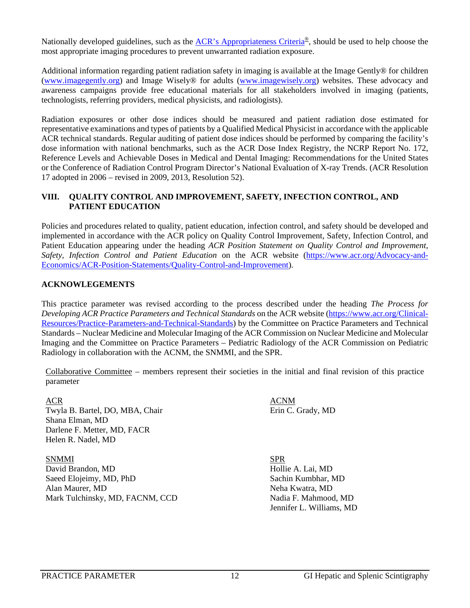Nationally developed guidelines, such as the  $\angle ACR$ 's Appropriateness Criteria<sup>®</sup>, should be used to help choose the most appropriate imaging procedures to prevent unwarranted radiation exposure.

Additional information regarding patient radiation safety in imaging is available at the Image Gently® for children [\(www.imagegently.org\)](http://www.imagegently.org/) and Image Wisely® for adults [\(www.imagewisely.org\)](http://www.imagewisely.org/) websites. These advocacy and awareness campaigns provide free educational materials for all stakeholders involved in imaging (patients, technologists, referring providers, medical physicists, and radiologists).

Radiation exposures or other dose indices should be measured and patient radiation dose estimated for representative examinations and types of patients by a Qualified Medical Physicist in accordance with the applicable ACR technical standards. Regular auditing of patient dose indices should be performed by comparing the facility's dose information with national benchmarks, such as the ACR Dose Index Registry, the NCRP Report No. 172, Reference Levels and Achievable Doses in Medical and Dental Imaging: Recommendations for the United States or the Conference of Radiation Control Program Director's National Evaluation of X-ray Trends. (ACR Resolution 17 adopted in 2006 – revised in 2009, 2013, Resolution 52).

#### **VIII. QUALITY CONTROL AND IMPROVEMENT, SAFETY, INFECTION CONTROL, AND PATIENT EDUCATION**

Policies and procedures related to quality, patient education, infection control, and safety should be developed and implemented in accordance with the ACR policy on Quality Control Improvement, Safety, Infection Control, and Patient Education appearing under the heading *ACR Position Statement on Quality Control and Improvement, Safety, Infection Control and Patient Education* on the ACR website [\(https://www.acr.org/Advocacy-and-](https://www.acr.org/Advocacy-and-Economics/ACR-Position-Statements/Quality-Control-and-Improvement)[Economics/ACR-Position-Statements/Quality-Control-and-Improvement\)](https://www.acr.org/Advocacy-and-Economics/ACR-Position-Statements/Quality-Control-and-Improvement).

#### **ACKNOWLEGEMENTS**

This practice parameter was revised according to the process described under the heading *The Process for Developing ACR Practice Parameters and Technical Standards* on the ACR website [\(https://www.acr.org/Clinical-](https://www.acr.org/Clinical-Resources/Practice-Parameters-and-Technical-Standards)[Resources/Practice-Parameters-and-Technical-Standards\)](https://www.acr.org/Clinical-Resources/Practice-Parameters-and-Technical-Standards) by the Committee on Practice Parameters and Technical Standards – Nuclear Medicine and Molecular Imaging of the ACR Commission on Nuclear Medicine and Molecular Imaging and the Committee on Practice Parameters – Pediatric Radiology of the ACR Commission on Pediatric Radiology in collaboration with the ACNM, the SNMMI, and the SPR.

Collaborative Committee – members represent their societies in the initial and final revision of this practice parameter

ACR ACNM Twyla B. Bartel, DO, MBA, Chair **Example 2018** Erin C. Grady, MD Shana Elman, MD Darlene F. Metter, MD, FACR Helen R. Nadel, MD

SNMMI SPR David Brandon, MD Hollie A. Lai, MD Saeed Elojeimy, MD, PhD Sachin Kumbhar, MD Alan Maurer, MD Neha Kwatra, MD Mark Tulchinsky, MD, FACNM, CCD Nadia F. Mahmood, MD

Jennifer L. Williams, MD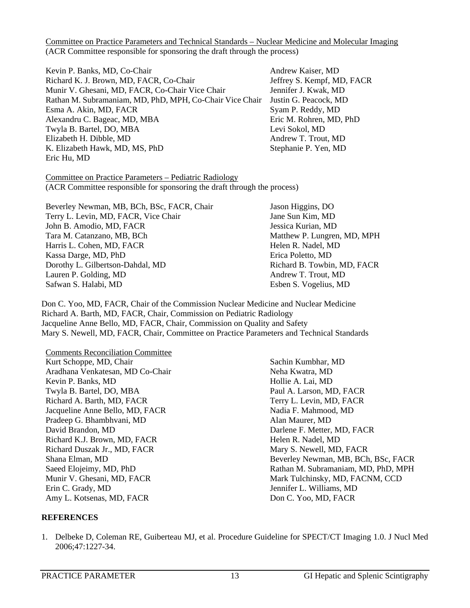Committee on Practice Parameters and Technical Standards – Nuclear Medicine and Molecular Imaging (ACR Committee responsible for sponsoring the draft through the process)

Kevin P. Banks, MD, Co-Chair **Andrew Kaiser**, MD Richard K. J. Brown, MD, FACR, Co-Chair Jeffrey S. Kempf, MD, FACR Munir V. Ghesani, MD, FACR, Co-Chair Vice Chair Jennifer J. Kwak, MD Rathan M. Subramaniam, MD, PhD, MPH, Co-Chair Vice Chair Justin G. Peacock, MD Esma A. Akin, MD, FACR Syam P. Reddy, MD Alexandru C. Bageac, MD, MBA Eric M. Rohren, MD, PhD Twyla B. Bartel, DO, MBA Levi Sokol, MD Elizabeth H. Dibble, MD Andrew T. Trout, MD K. Elizabeth Hawk, MD, MS, PhD Stephanie P. Yen, MD Eric Hu, MD

Committee on Practice Parameters – Pediatric Radiology (ACR Committee responsible for sponsoring the draft through the process)

Beverley Newman, MB, BCh, BSc, FACR, Chair Jason Higgins, DO Terry L. Levin, MD, FACR, Vice Chair **Jane Sun Kim, MD** John B. Amodio, MD, FACR Jessica Kurian, MD Tara M. Catanzano, MB, BCh Matthew P. Lungren, MD, MPH Harris L. Cohen, MD, FACR Helen R. Nadel, MD Kassa Darge, MD, PhD Erica Poletto, MD Dorothy L. Gilbertson-Dahdal, MD Richard B. Towbin, MD, FACR Lauren P. Golding, MD Andrew T. Trout, MD Safwan S. Halabi, MD Esben S. Vogelius, MD

Don C. Yoo, MD, FACR, Chair of the Commission Nuclear Medicine and Nuclear Medicine Richard A. Barth, MD, FACR, Chair, Commission on Pediatric Radiology Jacqueline Anne Bello, MD, FACR, Chair, Commission on Quality and Safety Mary S. Newell, MD, FACR, Chair, Committee on Practice Parameters and Technical Standards

Comments Reconciliation Committee Kurt Schoppe, MD, Chair Sachin Kumbhar, MD Aradhana Venkatesan, MD Co-Chair Neha Kwatra, MD Kevin P. Banks, MD **Hollie A. Lai, MD** Twyla B. Bartel, DO, MBA Paul A. Larson, MD, FACR Richard A. Barth, MD, FACR Terry L. Levin, MD, FACR Jacqueline Anne Bello, MD, FACR Nadia F. Mahmood, MD Pradeep G. Bhambhvani, MD Alan Maurer, MD David Brandon, MD Darlene F. Metter, MD, FACR Richard K.J. Brown, MD, FACR Helen R. Nadel, MD Richard Duszak Jr., MD, FACR Mary S. Newell, MD, FACR Erin C. Grady, MD Jennifer L. Williams, MD Amy L. Kotsenas, MD, FACR Don C. Yoo, MD, FACR

Shana Elman, MD Beverley Newman, MB, BCh, BSc, FACR Saeed Elojeimy, MD, PhD Rathan M. Subramaniam, MD, PhD, MPH Munir V. Ghesani, MD, FACR Mark Tulchinsky, MD, FACNM, CCD

#### **REFERENCES**

<span id="page-12-0"></span>1. Delbeke D, Coleman RE, Guiberteau MJ, et al. Procedure Guideline for SPECT/CT Imaging 1.0. J Nucl Med 2006;47:1227-34.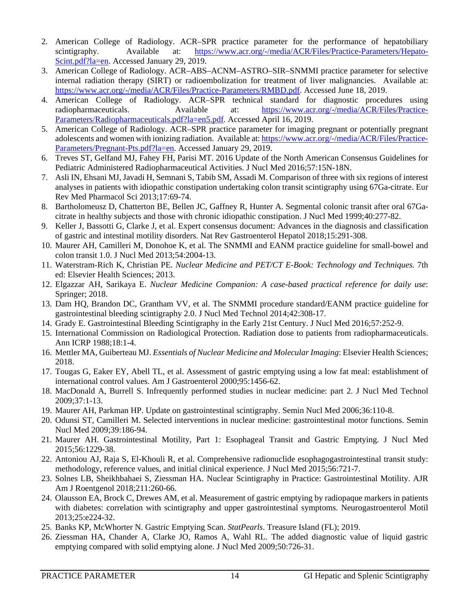- <span id="page-13-0"></span>2. American College of Radiology. ACR–SPR practice parameter for the performance of hepatobiliary scintigraphy. Available at: [https://www.acr.org/-/media/ACR/Files/Practice-Parameters/Hepato-](https://www.acr.org/-/media/ACR/Files/Practice-Parameters/Hepato-Scint.pdf?la=en)[Scint.pdf?la=en.](https://www.acr.org/-/media/ACR/Files/Practice-Parameters/Hepato-Scint.pdf?la=en) Accessed January 29, 2019.
- <span id="page-13-1"></span>3. American College of Radiology. ACR–ABS–ACNM–ASTRO–SIR–SNMMI practice parameter for selective internal radiation therapy (SIRT) or radioembolization for treatment of liver malignancies. Available at: [https://www.acr.org/-/media/ACR/Files/Practice-Parameters/RMBD.pdf.](https://www.acr.org/-/media/ACR/Files/Practice-Parameters/RMBD.pdf) Accessed June 18, 2019.
- <span id="page-13-2"></span>4. American College of Radiology. ACR–SPR technical standard for diagnostic procedures using radiopharmaceuticals. Available at: [https://www.acr.org/-/media/ACR/Files/Practice-](https://www.acr.org/-/media/ACR/Files/Practice-Parameters/Radiopharmaceuticals.pdf?la=en5.pdf)[Parameters/Radiopharmaceuticals.pdf?la=en5.pdf.](https://www.acr.org/-/media/ACR/Files/Practice-Parameters/Radiopharmaceuticals.pdf?la=en5.pdf) Accessed April 16, 2019.
- <span id="page-13-3"></span>5. American College of Radiology. ACR–SPR practice parameter for imaging pregnant or potentially pregnant adolescents and women with ionizing radiation. Available at: [https://www.acr.org/-/media/ACR/Files/Practice-](https://www.acr.org/-/media/ACR/Files/Practice-Parameters/Pregnant-Pts.pdf?la=en)[Parameters/Pregnant-Pts.pdf?la=en.](https://www.acr.org/-/media/ACR/Files/Practice-Parameters/Pregnant-Pts.pdf?la=en) Accessed January 29, 2019.
- <span id="page-13-4"></span>6. Treves ST, Gelfand MJ, Fahey FH, Parisi MT. 2016 Update of the North American Consensus Guidelines for Pediatric Administered Radiopharmaceutical Activities. J Nucl Med 2016;57:15N-18N.
- <span id="page-13-5"></span>7. Asli IN, Ehsani MJ, Javadi H, Semnani S, Tabib SM, Assadi M. Comparison of three with six regions of interest analyses in patients with idiopathic constipation undertaking colon transit scintigraphy using 67Ga-citrate. Eur Rev Med Pharmacol Sci 2013;17:69-74.
- <span id="page-13-6"></span>8. Bartholomeusz D, Chatterton BE, Bellen JC, Gaffney R, Hunter A. Segmental colonic transit after oral 67Gacitrate in healthy subjects and those with chronic idiopathic constipation. J Nucl Med 1999;40:277-82.
- <span id="page-13-7"></span>9. Keller J, Bassotti G, Clarke J, et al. Expert consensus document: Advances in the diagnosis and classification of gastric and intestinal motility disorders. Nat Rev Gastroenterol Hepatol 2018;15:291-308.
- <span id="page-13-24"></span>10. Maurer AH, Camilleri M, Donohoe K, et al. The SNMMI and EANM practice guideline for small-bowel and colon transit 1.0. J Nucl Med 2013;54:2004-13.
- <span id="page-13-23"></span>11. Waterstram-Rich K, Christian PE. *Nuclear Medicine and PET/CT E-Book: Technology and Techniques.* 7th ed: Elsevier Health Sciences; 2013.
- <span id="page-13-8"></span>12. Elgazzar AH, Sarikaya E. *Nuclear Medicine Companion: A case-based practical reference for daily use*: Springer; 2018.
- <span id="page-13-9"></span>13. Dam HQ, Brandon DC, Grantham VV, et al. The SNMMI procedure standard/EANM practice guideline for gastrointestinal bleeding scintigraphy 2.0. J Nucl Med Technol 2014;42:308-17.
- <span id="page-13-10"></span>14. Grady E. Gastrointestinal Bleeding Scintigraphy in the Early 21st Century. J Nucl Med 2016;57:252-9.
- <span id="page-13-11"></span>15. International Commission on Radiological Protection. Radiation dose to patients from radiopharmaceuticals. Ann ICRP 1988;18:1-4.
- <span id="page-13-12"></span>16. Mettler MA, Guiberteau MJ. *Essentials of Nuclear Medicine and Molecular Imaging*: Elsevier Health Sciences; 2018.
- <span id="page-13-13"></span>17. Tougas G, Eaker EY, Abell TL, et al. Assessment of gastric emptying using a low fat meal: establishment of international control values. Am J Gastroenterol 2000;95:1456-62.
- <span id="page-13-14"></span>18. MacDonald A, Burrell S. Infrequently performed studies in nuclear medicine: part 2. J Nucl Med Technol 2009;37:1-13.
- <span id="page-13-15"></span>19. Maurer AH, Parkman HP. Update on gastrointestinal scintigraphy. Semin Nucl Med 2006;36:110-8.
- <span id="page-13-16"></span>20. Odunsi ST, Camilleri M. Selected interventions in nuclear medicine: gastrointestinal motor functions. Semin Nucl Med 2009;39:186-94.
- <span id="page-13-17"></span>21. Maurer AH. Gastrointestinal Motility, Part 1: Esophageal Transit and Gastric Emptying. J Nucl Med 2015;56:1229-38.
- <span id="page-13-18"></span>22. Antoniou AJ, Raja S, El-Khouli R, et al. Comprehensive radionuclide esophagogastrointestinal transit study: methodology, reference values, and initial clinical experience. J Nucl Med 2015;56:721-7.
- <span id="page-13-19"></span>23. Solnes LB, Sheikhbahaei S, Ziessman HA. Nuclear Scintigraphy in Practice: Gastrointestinal Motility. AJR Am J Roentgenol 2018;211:260-66.
- <span id="page-13-20"></span>24. Olausson EA, Brock C, Drewes AM, et al. Measurement of gastric emptying by radiopaque markers in patients with diabetes: correlation with scintigraphy and upper gastrointestinal symptoms. Neurogastroenterol Motil 2013;25:e224-32.
- <span id="page-13-21"></span>25. Banks KP, McWhorter N. Gastric Emptying Scan. *StatPearls*. Treasure Island (FL); 2019.
- <span id="page-13-22"></span>26. Ziessman HA, Chander A, Clarke JO, Ramos A, Wahl RL. The added diagnostic value of liquid gastric emptying compared with solid emptying alone. J Nucl Med 2009;50:726-31.